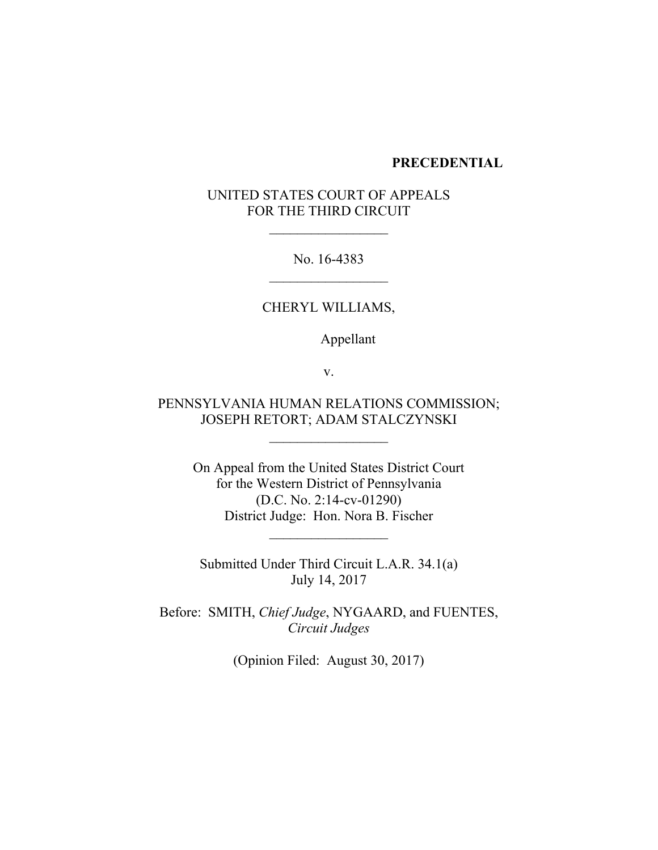### **PRECEDENTIAL**

# UNITED STATES COURT OF APPEALS FOR THE THIRD CIRCUIT

No. 16-4383

## CHERYL WILLIAMS,

Appellant

v.

# PENNSYLVANIA HUMAN RELATIONS COMMISSION; JOSEPH RETORT; ADAM STALCZYNSKI

On Appeal from the United States District Court for the Western District of Pennsylvania (D.C. No. 2:14-cv-01290) District Judge: Hon. Nora B. Fischer

 $\mathcal{L}_\text{max}$  and  $\mathcal{L}_\text{max}$  and  $\mathcal{L}_\text{max}$ 

Submitted Under Third Circuit L.A.R. 34.1(a) July 14, 2017

Before: SMITH, *Chief Judge*, NYGAARD, and FUENTES, *Circuit Judges*

(Opinion Filed: August 30, 2017)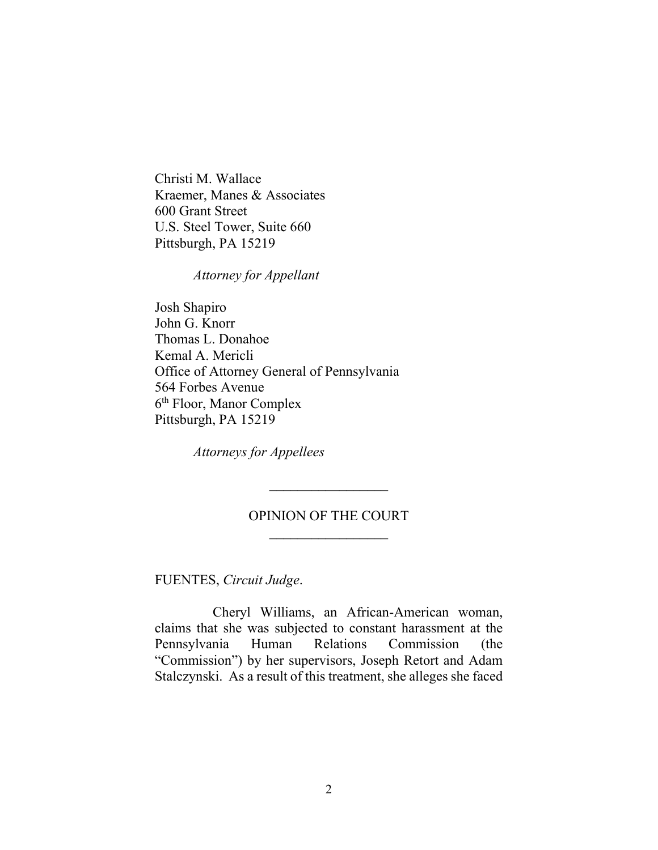Christi M. Wallace Kraemer, Manes & Associates 600 Grant Street U.S. Steel Tower, Suite 660 Pittsburgh, PA 15219

*Attorney for Appellant*

Josh Shapiro John G. Knorr Thomas L. Donahoe Kemal A. Mericli Office of Attorney General of Pennsylvania 564 Forbes Avenue 6 th Floor, Manor Complex Pittsburgh, PA 15219

*Attorneys for Appellees*

## OPINION OF THE COURT  $\mathcal{L}_\text{max}$  and  $\mathcal{L}_\text{max}$  and  $\mathcal{L}_\text{max}$

FUENTES, *Circuit Judge*.

Cheryl Williams, an African-American woman, claims that she was subjected to constant harassment at the Pennsylvania Human Relations Commission (the "Commission") by her supervisors, Joseph Retort and Adam Stalczynski. As a result of this treatment, she alleges she faced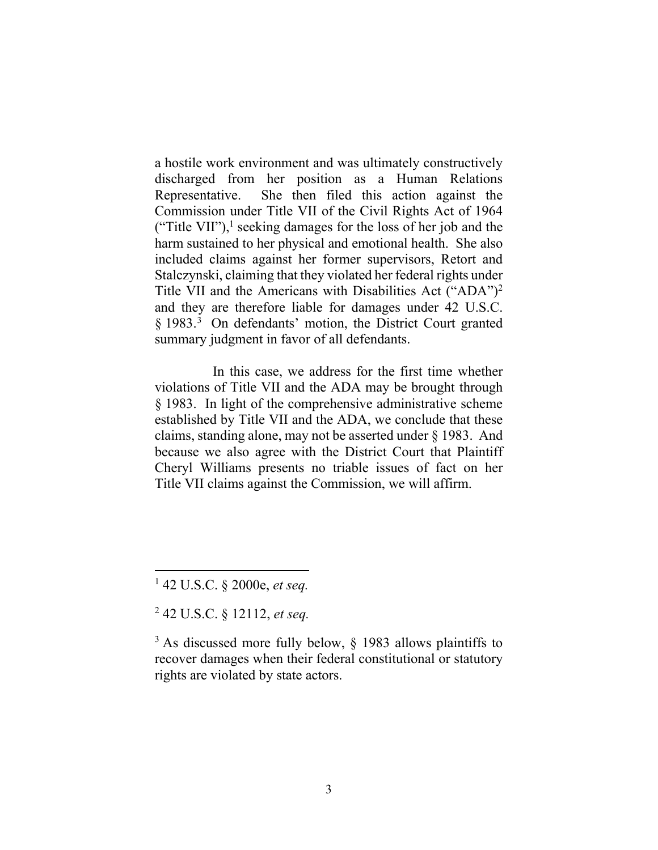a hostile work environment and was ultimately constructively discharged from her position as a Human Relations Representative. She then filed this action against the Commission under Title VII of the Civil Rights Act of 1964 ("Title VII"),<sup>1</sup> seeking damages for the loss of her job and the harm sustained to her physical and emotional health. She also included claims against her former supervisors, Retort and Stalczynski, claiming that they violated her federal rights under Title VII and the Americans with Disabilities Act ("ADA")<sup>2</sup> and they are therefore liable for damages under 42 U.S.C. § 1983.<sup>3</sup> On defendants' motion, the District Court granted summary judgment in favor of all defendants.

In this case, we address for the first time whether violations of Title VII and the ADA may be brought through § 1983. In light of the comprehensive administrative scheme established by Title VII and the ADA, we conclude that these claims, standing alone, may not be asserted under § 1983. And because we also agree with the District Court that Plaintiff Cheryl Williams presents no triable issues of fact on her Title VII claims against the Commission, we will affirm.

<sup>1</sup> 42 U.S.C. § 2000e, *et seq.*

<sup>2</sup> 42 U.S.C. § 12112, *et seq.*

 $3$  As discussed more fully below,  $\S$  1983 allows plaintiffs to recover damages when their federal constitutional or statutory rights are violated by state actors.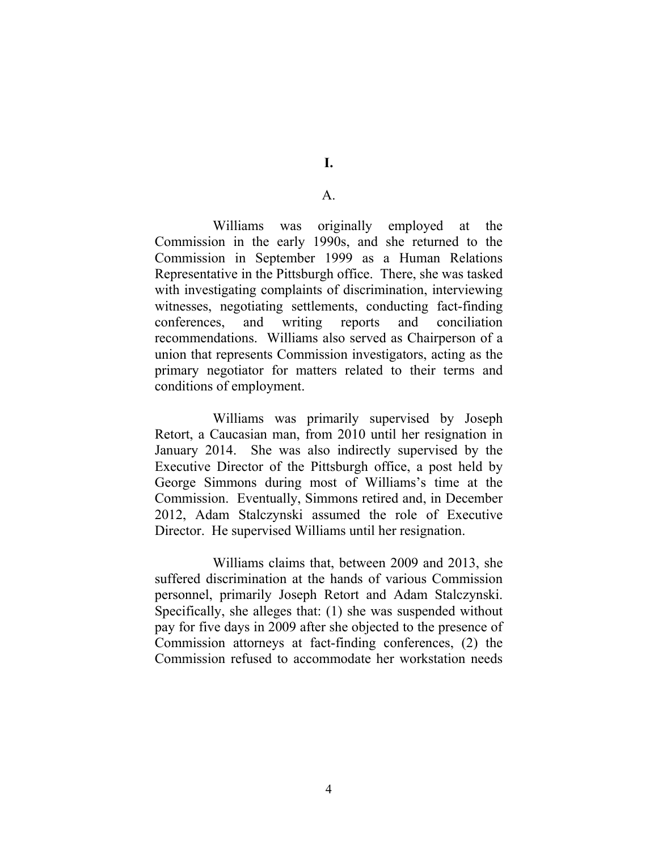### A.

Williams was originally employed at the Commission in the early 1990s, and she returned to the Commission in September 1999 as a Human Relations Representative in the Pittsburgh office. There, she was tasked with investigating complaints of discrimination, interviewing witnesses, negotiating settlements, conducting fact-finding conferences, and writing reports and conciliation recommendations. Williams also served as Chairperson of a union that represents Commission investigators, acting as the primary negotiator for matters related to their terms and conditions of employment.

Williams was primarily supervised by Joseph Retort, a Caucasian man, from 2010 until her resignation in January 2014. She was also indirectly supervised by the Executive Director of the Pittsburgh office, a post held by George Simmons during most of Williams's time at the Commission. Eventually, Simmons retired and, in December 2012, Adam Stalczynski assumed the role of Executive Director. He supervised Williams until her resignation.

Williams claims that, between 2009 and 2013, she suffered discrimination at the hands of various Commission personnel, primarily Joseph Retort and Adam Stalczynski. Specifically, she alleges that: (1) she was suspended without pay for five days in 2009 after she objected to the presence of Commission attorneys at fact-finding conferences, (2) the Commission refused to accommodate her workstation needs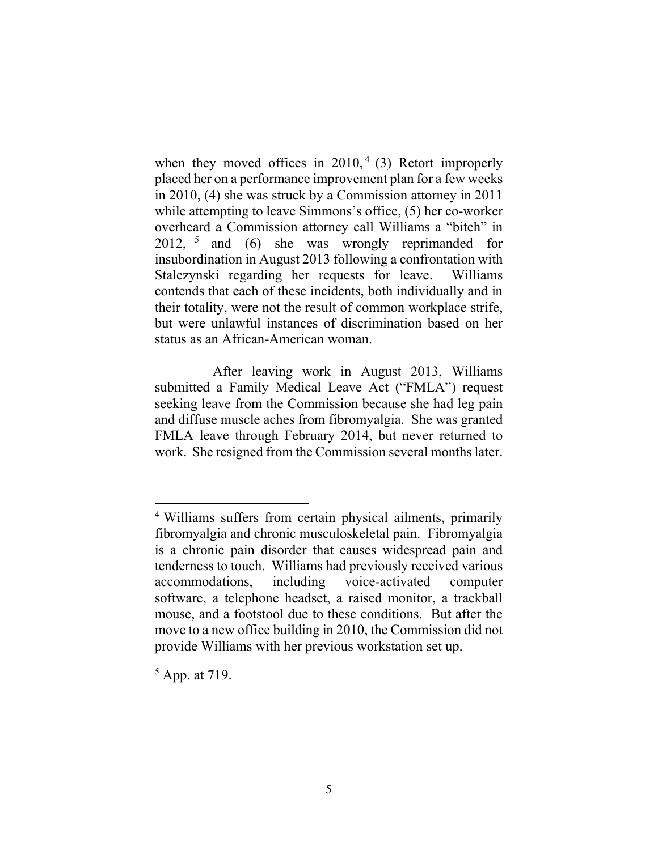when they moved offices in  $2010<sup>4</sup>$  (3) Retort improperly placed her on a performance improvement plan for a few weeks in 2010, (4) she was struck by a Commission attorney in 2011 while attempting to leave Simmons's office, (5) her co-worker overheard a Commission attorney call Williams a "bitch" in 2012, <sup>5</sup> and (6) she was wrongly reprimanded for insubordination in August 2013 following a confrontation with Stalczynski regarding her requests for leave. Williams contends that each of these incidents, both individually and in their totality, were not the result of common workplace strife, but were unlawful instances of discrimination based on her status as an African-American woman.

After leaving work in August 2013, Williams submitted a Family Medical Leave Act ("FMLA") request seeking leave from the Commission because she had leg pain and diffuse muscle aches from fibromyalgia. She was granted FMLA leave through February 2014, but never returned to work. She resigned from the Commission several months later.

<sup>4</sup> Williams suffers from certain physical ailments, primarily fibromyalgia and chronic musculoskeletal pain. Fibromyalgia is a chronic pain disorder that causes widespread pain and tenderness to touch. Williams had previously received various accommodations, including voice-activated computer software, a telephone headset, a raised monitor, a trackball mouse, and a footstool due to these conditions. But after the move to a new office building in 2010, the Commission did not provide Williams with her previous workstation set up.

<sup>5</sup> App. at 719.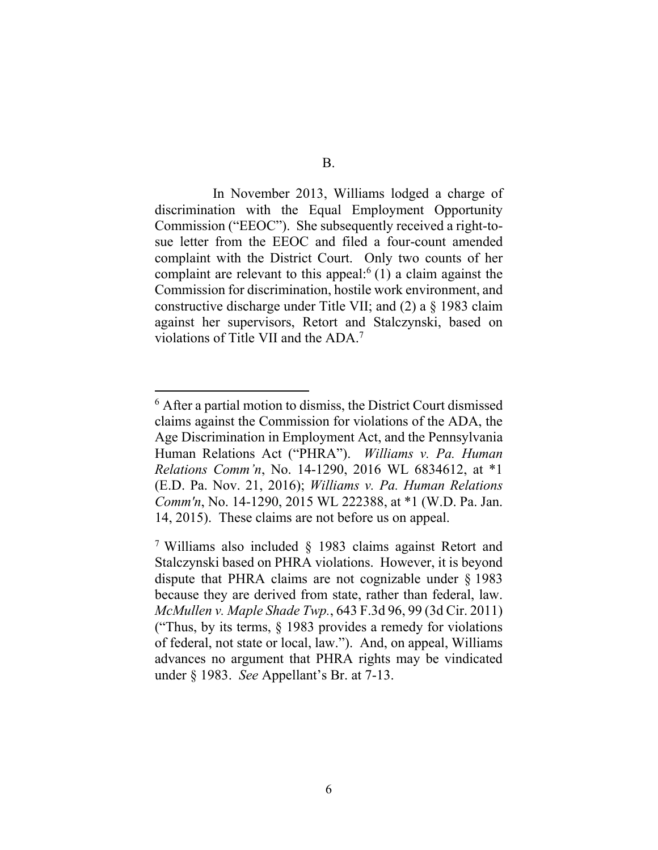In November 2013, Williams lodged a charge of discrimination with the Equal Employment Opportunity Commission ("EEOC"). She subsequently received a right-tosue letter from the EEOC and filed a four-count amended complaint with the District Court. Only two counts of her complaint are relevant to this appeal: $<sup>6</sup>(1)$  a claim against the</sup> Commission for discrimination, hostile work environment, and constructive discharge under Title VII; and (2) a § 1983 claim against her supervisors, Retort and Stalczynski, based on violations of Title VII and the ADA.<sup>7</sup>

<sup>6</sup> After a partial motion to dismiss, the District Court dismissed claims against the Commission for violations of the ADA, the Age Discrimination in Employment Act, and the Pennsylvania Human Relations Act ("PHRA"). *Williams v. Pa. Human Relations Comm'n*, No. 14-1290, 2016 WL 6834612, at \*1 (E.D. Pa. Nov. 21, 2016); *Williams v. Pa. Human Relations Comm'n*, No. 14-1290, 2015 WL 222388, at \*1 (W.D. Pa. Jan. 14, 2015). These claims are not before us on appeal.

<sup>7</sup> Williams also included § 1983 claims against Retort and Stalczynski based on PHRA violations. However, it is beyond dispute that PHRA claims are not cognizable under § 1983 because they are derived from state, rather than federal, law. *McMullen v. Maple Shade Twp.*, 643 F.3d 96, 99 (3d Cir. 2011) ("Thus, by its terms, § 1983 provides a remedy for violations of federal, not state or local, law."). And, on appeal, Williams advances no argument that PHRA rights may be vindicated under § 1983. *See* Appellant's Br. at 7-13.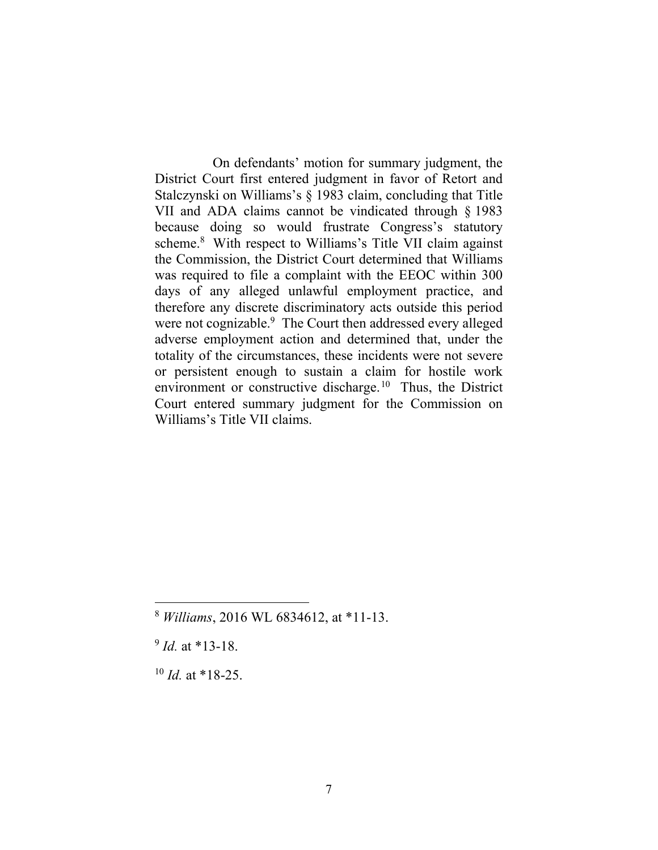On defendants' motion for summary judgment, the District Court first entered judgment in favor of Retort and Stalczynski on Williams's § 1983 claim, concluding that Title VII and ADA claims cannot be vindicated through § 1983 because doing so would frustrate Congress's statutory scheme.<sup>8</sup> With respect to Williams's Title VII claim against the Commission, the District Court determined that Williams was required to file a complaint with the EEOC within 300 days of any alleged unlawful employment practice, and therefore any discrete discriminatory acts outside this period were not cognizable.<sup>9</sup> The Court then addressed every alleged adverse employment action and determined that, under the totality of the circumstances, these incidents were not severe or persistent enough to sustain a claim for hostile work environment or constructive discharge.<sup>10</sup> Thus, the District Court entered summary judgment for the Commission on Williams's Title VII claims.

<sup>8</sup> *Williams*, 2016 WL 6834612, at \*11-13.

<sup>9</sup> *Id.* at \*13-18.

 $10$  *Id.* at \*18-25.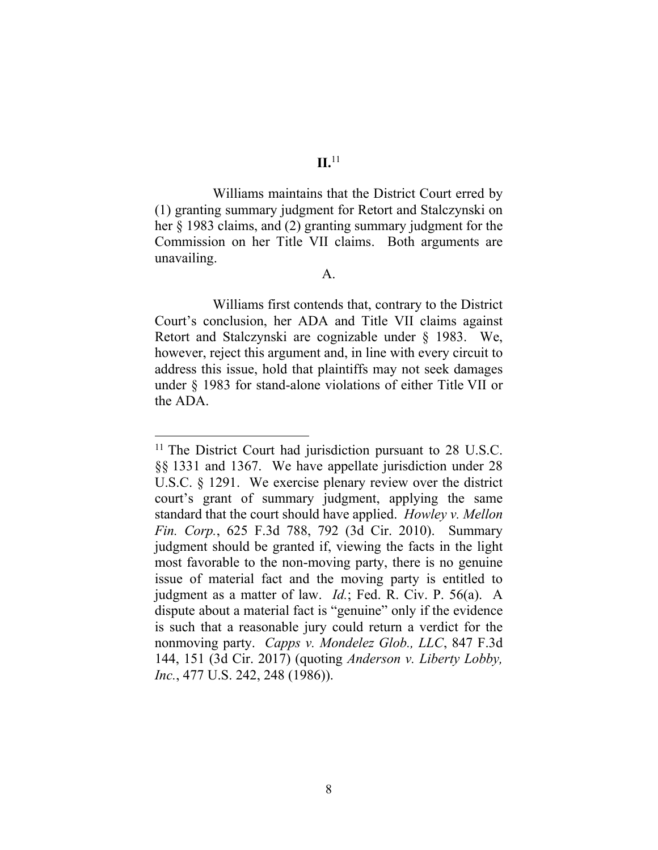Williams maintains that the District Court erred by (1) granting summary judgment for Retort and Stalczynski on her § 1983 claims, and (2) granting summary judgment for the Commission on her Title VII claims. Both arguments are unavailing.

A.

Williams first contends that, contrary to the District Court's conclusion, her ADA and Title VII claims against Retort and Stalczynski are cognizable under § 1983. We, however, reject this argument and, in line with every circuit to address this issue, hold that plaintiffs may not seek damages under § 1983 for stand-alone violations of either Title VII or the ADA.

<sup>&</sup>lt;sup>11</sup> The District Court had jurisdiction pursuant to 28 U.S.C. §§ 1331 and 1367. We have appellate jurisdiction under 28 U.S.C. § 1291. We exercise plenary review over the district court's grant of summary judgment, applying the same standard that the court should have applied. *Howley v. Mellon Fin. Corp.*, 625 F.3d 788, 792 (3d Cir. 2010). Summary judgment should be granted if, viewing the facts in the light most favorable to the non-moving party, there is no genuine issue of material fact and the moving party is entitled to judgment as a matter of law. *Id.*; Fed. R. Civ. P. 56(a). A dispute about a material fact is "genuine" only if the evidence is such that a reasonable jury could return a verdict for the nonmoving party. *Capps v. Mondelez Glob., LLC*, 847 F.3d 144, 151 (3d Cir. 2017) (quoting *Anderson v. Liberty Lobby, Inc.*, 477 U.S. 242, 248 (1986)).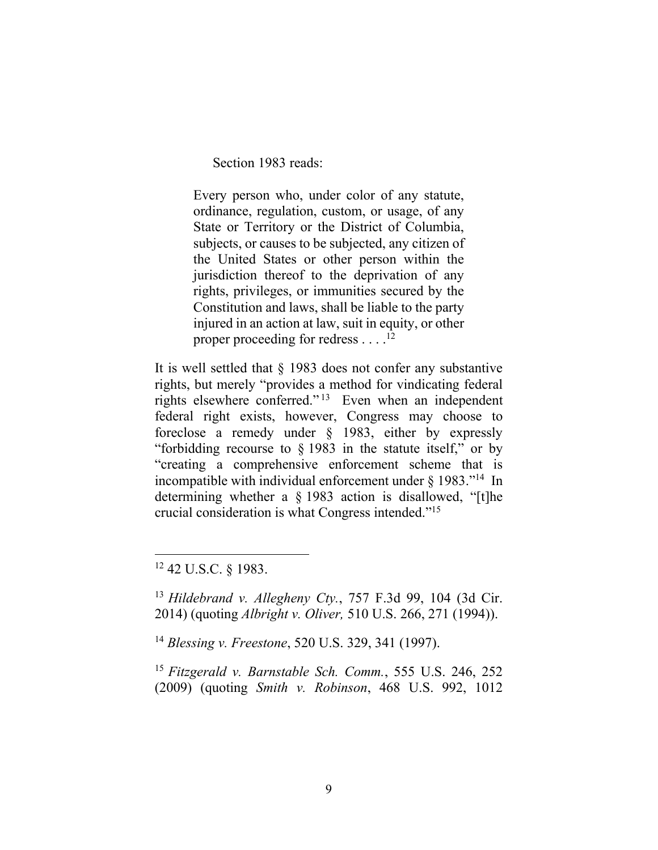Section 1983 reads:

Every person who, under color of any statute, ordinance, regulation, custom, or usage, of any State or Territory or the District of Columbia, subjects, or causes to be subjected, any citizen of the United States or other person within the jurisdiction thereof to the deprivation of any rights, privileges, or immunities secured by the Constitution and laws, shall be liable to the party injured in an action at law, suit in equity, or other proper proceeding for redress . . . .<sup>12</sup>

It is well settled that § 1983 does not confer any substantive rights, but merely "provides a method for vindicating federal rights elsewhere conferred."<sup>13</sup> Even when an independent federal right exists, however, Congress may choose to foreclose a remedy under § 1983, either by expressly "forbidding recourse to § 1983 in the statute itself," or by "creating a comprehensive enforcement scheme that is incompatible with individual enforcement under  $\S$  1983."<sup>14</sup> In determining whether a § 1983 action is disallowed, "[t]he crucial consideration is what Congress intended." 15

<sup>12</sup> 42 U.S.C. § 1983.

 $\overline{a}$ 

<sup>13</sup> *Hildebrand v. Allegheny Cty.*, 757 F.3d 99, 104 (3d Cir. 2014) (quoting *Albright v. Oliver,* 510 U.S. 266, 271 (1994)).

<sup>14</sup> *Blessing v. Freestone*, 520 U.S. 329, 341 (1997).

<sup>15</sup> *Fitzgerald v. Barnstable Sch. Comm.*, 555 U.S. 246, 252 (2009) (quoting *Smith v. Robinson*, 468 U.S. 992, 1012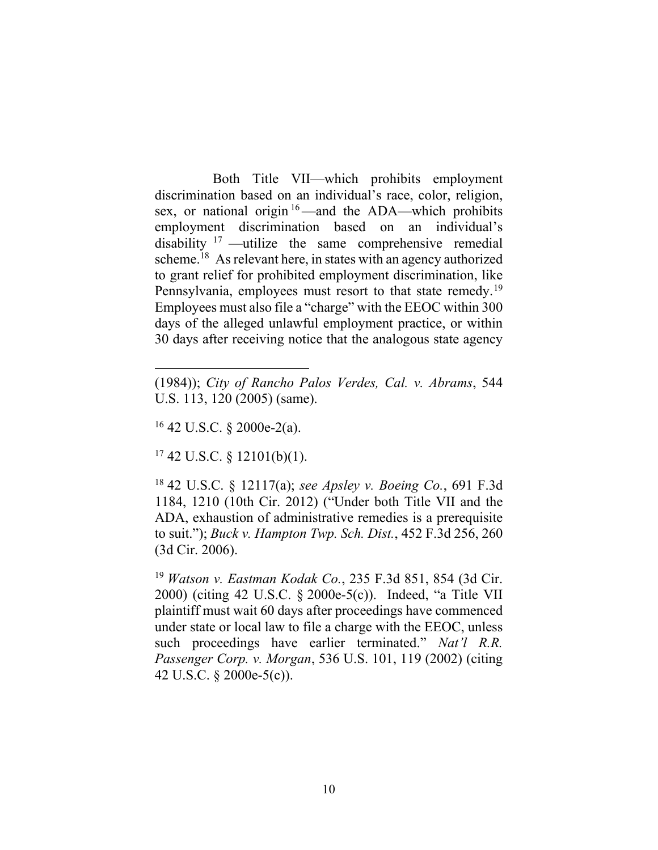Both Title VII—which prohibits employment discrimination based on an individual's race, color, religion, sex, or national origin <sup>16</sup>—and the ADA—which prohibits employment discrimination based on an individual's disability  $17$  —utilize the same comprehensive remedial scheme. 18 As relevant here, in states with an agency authorized to grant relief for prohibited employment discrimination, like Pennsylvania, employees must resort to that state remedy.<sup>19</sup> Employees must also file a "charge" with the EEOC within 300 days of the alleged unlawful employment practice, or within 30 days after receiving notice that the analogous state agency

 $16$  42 U.S.C. § 2000e-2(a).

 $\overline{a}$ 

 $17$  42 U.S.C. § 12101(b)(1).

<sup>18</sup> 42 U.S.C. § 12117(a); *see Apsley v. Boeing Co.*, 691 F.3d 1184, 1210 (10th Cir. 2012) ("Under both Title VII and the ADA, exhaustion of administrative remedies is a prerequisite to suit."); *Buck v. Hampton Twp. Sch. Dist.*, 452 F.3d 256, 260 (3d Cir. 2006).

<sup>19</sup> *Watson v. Eastman Kodak Co.*, 235 F.3d 851, 854 (3d Cir. 2000) (citing 42 U.S.C. § 2000e-5(c)). Indeed, "a Title VII plaintiff must wait 60 days after proceedings have commenced under state or local law to file a charge with the EEOC, unless such proceedings have earlier terminated." *Nat'l R.R. Passenger Corp. v. Morgan*, 536 U.S. 101, 119 (2002) (citing 42 U.S.C. § 2000e-5(c)).

<sup>(1984));</sup> *City of Rancho Palos Verdes, Cal. v. Abrams*, 544 U.S. 113, 120 (2005) (same).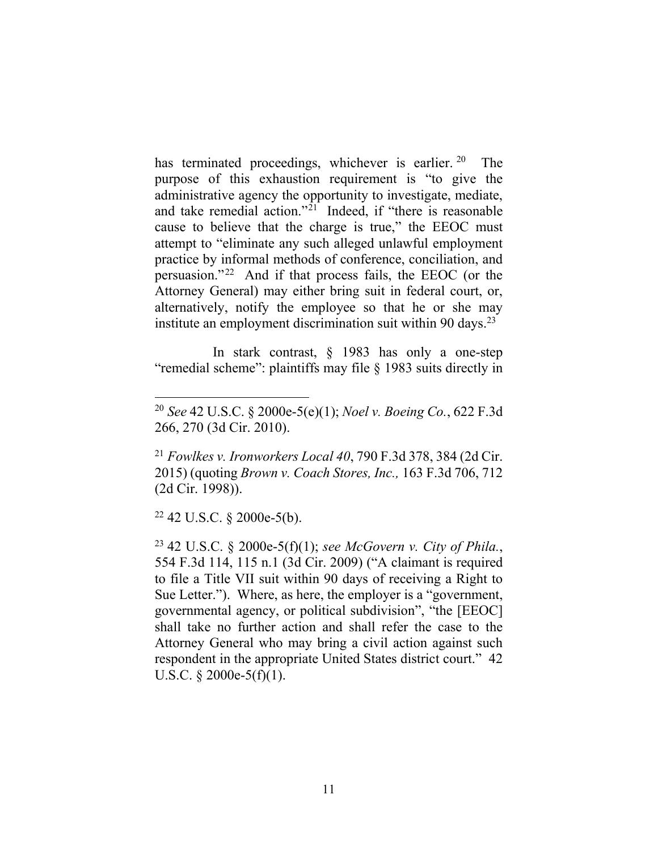has terminated proceedings, whichever is earlier. 20 The purpose of this exhaustion requirement is "to give the administrative agency the opportunity to investigate, mediate, and take remedial action." 21 Indeed, if "there is reasonable cause to believe that the charge is true," the EEOC must attempt to "eliminate any such alleged unlawful employment practice by informal methods of conference, conciliation, and persuasion." 22 And if that process fails, the EEOC (or the Attorney General) may either bring suit in federal court, or, alternatively, notify the employee so that he or she may institute an employment discrimination suit within 90 days.<sup>23</sup>

In stark contrast, § 1983 has only a one-step "remedial scheme": plaintiffs may file § 1983 suits directly in

 $22$  42 U.S.C. § 2000e-5(b).

 $\overline{a}$ 

<sup>23</sup> 42 U.S.C. § 2000e-5(f)(1); *see McGovern v. City of Phila.*, 554 F.3d 114, 115 n.1 (3d Cir. 2009) ("A claimant is required to file a Title VII suit within 90 days of receiving a Right to Sue Letter."). Where, as here, the employer is a "government, governmental agency, or political subdivision", "the [EEOC] shall take no further action and shall refer the case to the Attorney General who may bring a civil action against such respondent in the appropriate United States district court." 42 U.S.C.  $\S$  2000e-5(f)(1).

<sup>20</sup> *See* 42 U.S.C. § 2000e-5(e)(1); *Noel v. Boeing Co.*, 622 F.3d 266, 270 (3d Cir. 2010).

<sup>21</sup> *Fowlkes v. Ironworkers Local 40*, 790 F.3d 378, 384 (2d Cir. 2015) (quoting *Brown v. Coach Stores, Inc.,* 163 F.3d 706, 712 (2d Cir. 1998)).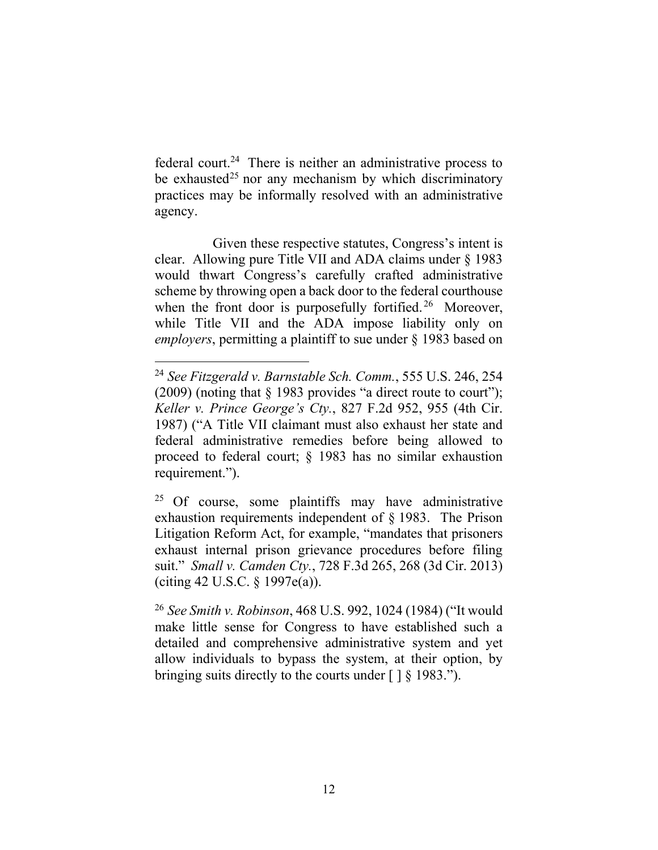federal court.<sup>24</sup> There is neither an administrative process to be exhausted<sup>25</sup> nor any mechanism by which discriminatory practices may be informally resolved with an administrative agency.

Given these respective statutes, Congress's intent is clear. Allowing pure Title VII and ADA claims under § 1983 would thwart Congress's carefully crafted administrative scheme by throwing open a back door to the federal courthouse when the front door is purposefully fortified.<sup>26</sup> Moreover, while Title VII and the ADA impose liability only on *employers*, permitting a plaintiff to sue under § 1983 based on

 $\overline{a}$ <sup>24</sup> *See Fitzgerald v. Barnstable Sch. Comm.*, 555 U.S. 246, 254 (2009) (noting that § 1983 provides "a direct route to court"); *Keller v. Prince George's Cty.*, 827 F.2d 952, 955 (4th Cir. 1987) ("A Title VII claimant must also exhaust her state and federal administrative remedies before being allowed to proceed to federal court; § 1983 has no similar exhaustion requirement.").

<sup>&</sup>lt;sup>25</sup> Of course, some plaintiffs may have administrative exhaustion requirements independent of § 1983. The Prison Litigation Reform Act, for example, "mandates that prisoners exhaust internal prison grievance procedures before filing suit." *Small v. Camden Cty.*, 728 F.3d 265, 268 (3d Cir. 2013) (citing 42 U.S.C. § 1997e(a)).

<sup>26</sup> *See Smith v. Robinson*, 468 U.S. 992, 1024 (1984) ("It would make little sense for Congress to have established such a detailed and comprehensive administrative system and yet allow individuals to bypass the system, at their option, by bringing suits directly to the courts under [ ] § 1983.").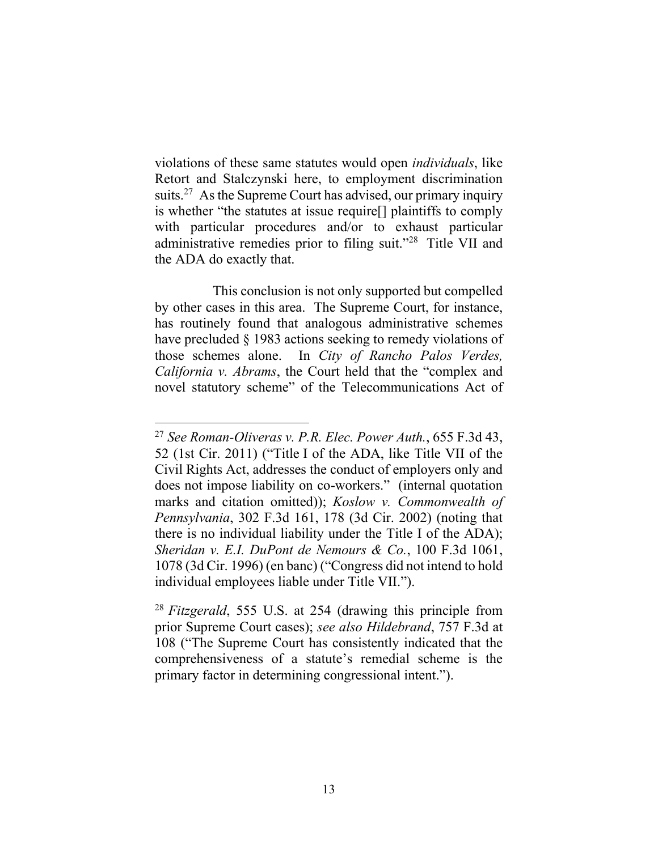violations of these same statutes would open *individuals*, like Retort and Stalczynski here, to employment discrimination suits.<sup>27</sup> As the Supreme Court has advised, our primary inquiry is whether "the statutes at issue require[] plaintiffs to comply with particular procedures and/or to exhaust particular administrative remedies prior to filing suit."<sup>28</sup> Title VII and the ADA do exactly that.

This conclusion is not only supported but compelled by other cases in this area. The Supreme Court, for instance, has routinely found that analogous administrative schemes have precluded  $\S$  1983 actions seeking to remedy violations of those schemes alone. In *City of Rancho Palos Verdes, California v. Abrams*, the Court held that the "complex and novel statutory scheme" of the Telecommunications Act of

<sup>27</sup> *See Roman-Oliveras v. P.R. Elec. Power Auth.*, 655 F.3d 43, 52 (1st Cir. 2011) ("Title I of the ADA, like Title VII of the Civil Rights Act, addresses the conduct of employers only and does not impose liability on co-workers." (internal quotation marks and citation omitted)); *Koslow v. Commonwealth of Pennsylvania*, 302 F.3d 161, 178 (3d Cir. 2002) (noting that there is no individual liability under the Title I of the ADA); *Sheridan v. E.I. DuPont de Nemours & Co.*, 100 F.3d 1061, 1078 (3d Cir. 1996) (en banc) ("Congress did not intend to hold individual employees liable under Title VII.").

<sup>28</sup> *Fitzgerald*, 555 U.S. at 254 (drawing this principle from prior Supreme Court cases); *see also Hildebrand*, 757 F.3d at 108 ("The Supreme Court has consistently indicated that the comprehensiveness of a statute's remedial scheme is the primary factor in determining congressional intent.").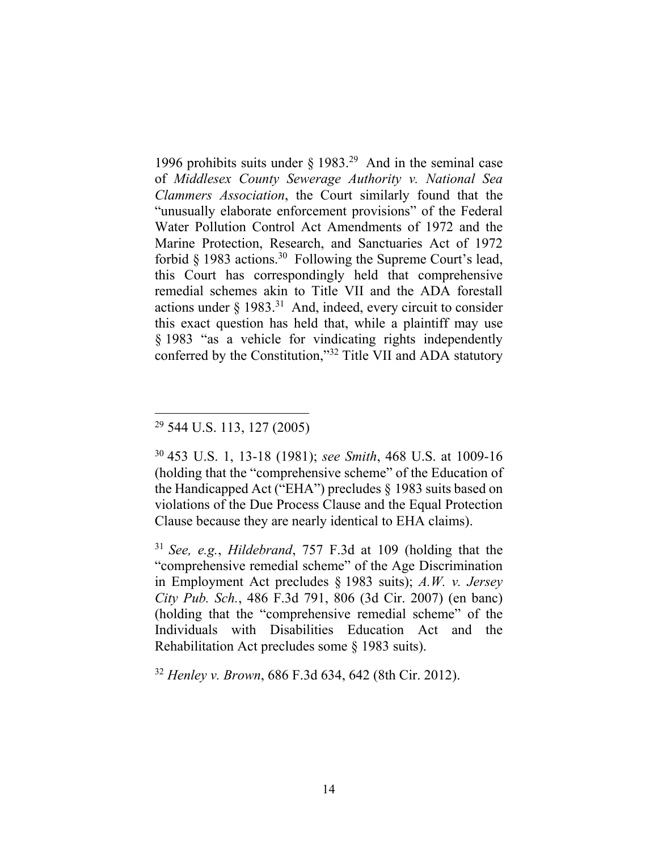1996 prohibits suits under  $\S$  1983.<sup>29</sup> And in the seminal case of *Middlesex County Sewerage Authority v. National Sea Clammers Association*, the Court similarly found that the "unusually elaborate enforcement provisions" of the Federal Water Pollution Control Act Amendments of 1972 and the Marine Protection, Research, and Sanctuaries Act of 1972 forbid § 1983 actions.<sup>30</sup> Following the Supreme Court's lead, this Court has correspondingly held that comprehensive remedial schemes akin to Title VII and the ADA forestall actions under  $\S$  1983.<sup>31</sup> And, indeed, every circuit to consider this exact question has held that, while a plaintiff may use [§](https://1.next.westlaw.com/Link/Document/FullText?findType=L&pubNum=1000546&cite=42USCAS2000E-16&originatingDoc=I226326e003a511e79f02f3f03f61dd4d&refType=LQ&originationContext=document&transitionType=DocumentItem&contextData=(sc.Default)) 1983 "as a vehicle for vindicating rights independently conferred by the Constitution,"<sup>32</sup> Title VII and ADA statutory

 $\overline{a}$ 

<sup>32</sup> *Henley v. Brown*, 686 F.3d 634, 642 (8th Cir. 2012).

<sup>29</sup> 544 U.S. 113, 127 (2005)

<sup>30</sup> 453 U.S. 1, 13-18 (1981); *see Smith*, 468 U.S. at 1009-16 (holding that the "comprehensive scheme" of the Education of the Handicapped Act ("EHA") precludes § 1983 suits based on violations of the Due Process Clause and the Equal Protection Clause because they are nearly identical to EHA claims).

<sup>31</sup> *See, e.g.*, *Hildebrand*, 757 F.3d at 109 (holding that the "comprehensive remedial scheme" of the Age Discrimination in Employment Act precludes § 1983 suits); *A.W. v. Jersey City Pub. Sch.*, 486 F.3d 791, 806 (3d Cir. 2007) (en banc) (holding that the "comprehensive remedial scheme" of the Individuals with Disabilities Education Act and the Rehabilitation Act precludes some § 1983 suits).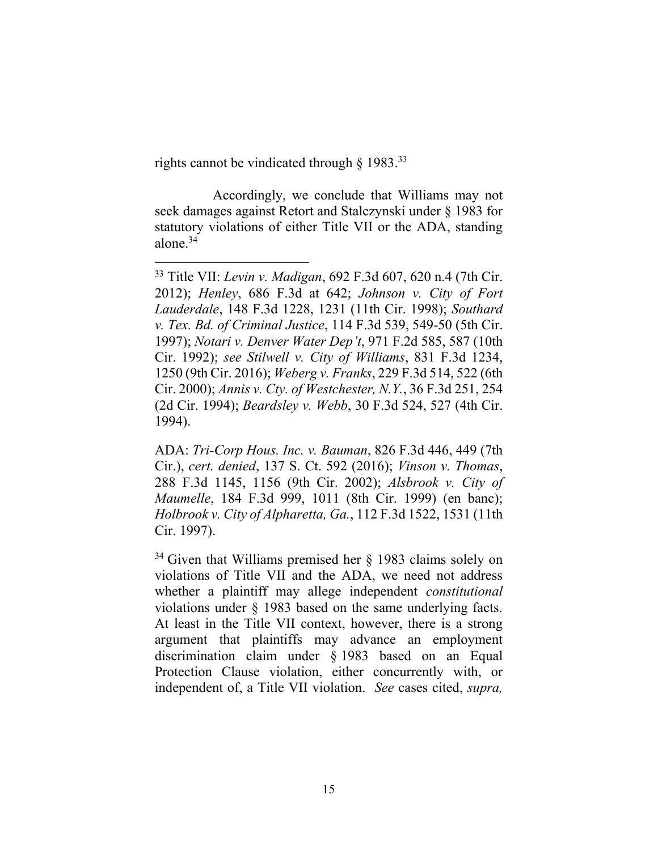<span id="page-14-0"></span>rights cannot be vindicated through  $\S$  1983.<sup>33</sup>

 $\overline{a}$ 

Accordingly, we conclude that Williams may not seek damages against Retort and Stalczynski under § 1983 for statutory violations of either Title VII or the ADA, standing alone.<sup>34</sup>

<sup>33</sup> Title VII: *Levin v. Madigan*, 692 F.3d 607, 620 n.4 (7th Cir. 2012); *Henley*, 686 F.3d at 642; *Johnson v. City of Fort Lauderdale*, 148 F.3d 1228, 1231 (11th Cir. 1998); *Southard v. Tex. Bd. of Criminal Justice*, 114 F.3d 539, 549-50 (5th Cir. 1997); *Notari v. Denver Water Dep't*, 971 F.2d 585, 587 (10th Cir. 1992); *see Stilwell v. City of Williams*, 831 F.3d 1234, 1250 (9th Cir. 2016); *Weberg v. Franks*, 229 F.3d 514, 522 (6th Cir. 2000); *Annis v. Cty. of Westchester, N.Y.*, 36 F.3d 251, 254 (2d Cir. 1994); *Beardsley v. Webb*, 30 F.3d 524, 527 (4th Cir. 1994).

ADA: *Tri-Corp Hous. Inc. v. Bauman*, 826 F.3d 446, 449 (7th Cir.), *cert. denied*, 137 S. Ct. 592 (2016); *Vinson v. Thomas*, 288 F.3d 1145, 1156 (9th Cir. 2002); *Alsbrook v. City of Maumelle*, 184 F.3d 999, 1011 (8th Cir. 1999) (en banc); *Holbrook v. City of Alpharetta, Ga.*, 112 F.3d 1522, 1531 (11th Cir. 1997).

 $34$  Given that Williams premised her § 1983 claims solely on violations of Title VII and the ADA, we need not address whether a plaintiff may allege independent *constitutional* violations under § 1983 based on the same underlying facts. At least in the Title VII context, however, there is a strong argument that plaintiffs may advance an employment discrimination claim under § 1983 based on an Equal Protection Clause violation, either concurrently with, or independent of, a Title VII violation. *See* cases cited, *supra,*